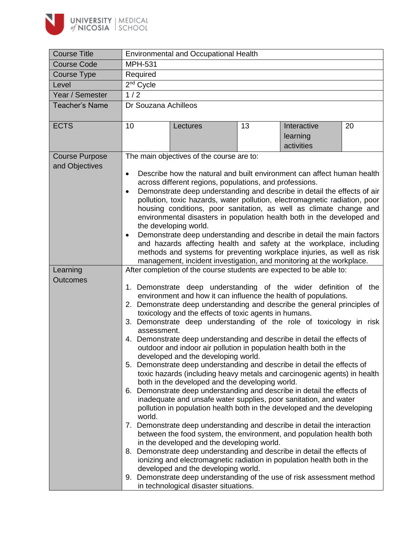

| <b>Course Title</b>   |                                                                                                                                                                                                                                      | <b>Environmental and Occupational Health</b>                                                                                                           |    |                                       |    |  |
|-----------------------|--------------------------------------------------------------------------------------------------------------------------------------------------------------------------------------------------------------------------------------|--------------------------------------------------------------------------------------------------------------------------------------------------------|----|---------------------------------------|----|--|
| <b>Course Code</b>    | <b>MPH-531</b>                                                                                                                                                                                                                       |                                                                                                                                                        |    |                                       |    |  |
| Course Type           | Required                                                                                                                                                                                                                             |                                                                                                                                                        |    |                                       |    |  |
| Level                 | 2 <sup>nd</sup> Cycle                                                                                                                                                                                                                |                                                                                                                                                        |    |                                       |    |  |
| Year / Semester       | 1/2                                                                                                                                                                                                                                  |                                                                                                                                                        |    |                                       |    |  |
| <b>Teacher's Name</b> | Dr Souzana Achilleos                                                                                                                                                                                                                 |                                                                                                                                                        |    |                                       |    |  |
|                       |                                                                                                                                                                                                                                      |                                                                                                                                                        |    |                                       |    |  |
| <b>ECTS</b>           | 10                                                                                                                                                                                                                                   | Lectures                                                                                                                                               | 13 | Interactive<br>learning<br>activities | 20 |  |
| <b>Course Purpose</b> |                                                                                                                                                                                                                                      | The main objectives of the course are to:                                                                                                              |    |                                       |    |  |
| and Objectives        |                                                                                                                                                                                                                                      |                                                                                                                                                        |    |                                       |    |  |
|                       | $\bullet$                                                                                                                                                                                                                            | Describe how the natural and built environment can affect human health                                                                                 |    |                                       |    |  |
|                       |                                                                                                                                                                                                                                      | across different regions, populations, and professions.                                                                                                |    |                                       |    |  |
|                       | $\bullet$                                                                                                                                                                                                                            | Demonstrate deep understanding and describe in detail the effects of air<br>pollution, toxic hazards, water pollution, electromagnetic radiation, poor |    |                                       |    |  |
|                       |                                                                                                                                                                                                                                      | housing conditions, poor sanitation, as well as climate change and                                                                                     |    |                                       |    |  |
|                       |                                                                                                                                                                                                                                      | environmental disasters in population health both in the developed and                                                                                 |    |                                       |    |  |
|                       | the developing world.                                                                                                                                                                                                                |                                                                                                                                                        |    |                                       |    |  |
|                       | Demonstrate deep understanding and describe in detail the main factors<br>$\bullet$<br>and hazards affecting health and safety at the workplace, including<br>methods and systems for preventing workplace injuries, as well as risk |                                                                                                                                                        |    |                                       |    |  |
|                       |                                                                                                                                                                                                                                      |                                                                                                                                                        |    |                                       |    |  |
|                       |                                                                                                                                                                                                                                      |                                                                                                                                                        |    |                                       |    |  |
| Learning              | management, incident investigation, and monitoring at the workplace.<br>After completion of the course students are expected to be able to:                                                                                          |                                                                                                                                                        |    |                                       |    |  |
| <b>Outcomes</b>       |                                                                                                                                                                                                                                      |                                                                                                                                                        |    |                                       |    |  |
|                       |                                                                                                                                                                                                                                      | 1. Demonstrate deep understanding of the wider definition of the                                                                                       |    |                                       |    |  |
|                       |                                                                                                                                                                                                                                      | environment and how it can influence the health of populations.                                                                                        |    |                                       |    |  |
|                       | 2. Demonstrate deep understanding and describe the general principles of                                                                                                                                                             |                                                                                                                                                        |    |                                       |    |  |
|                       | toxicology and the effects of toxic agents in humans.                                                                                                                                                                                |                                                                                                                                                        |    |                                       |    |  |
|                       | 3. Demonstrate deep understanding of the role of toxicology in risk<br>assessment.                                                                                                                                                   |                                                                                                                                                        |    |                                       |    |  |
|                       | 4. Demonstrate deep understanding and describe in detail the effects of                                                                                                                                                              |                                                                                                                                                        |    |                                       |    |  |
|                       | outdoor and indoor air pollution in population health both in the                                                                                                                                                                    |                                                                                                                                                        |    |                                       |    |  |
|                       |                                                                                                                                                                                                                                      | developed and the developing world.                                                                                                                    |    |                                       |    |  |
|                       |                                                                                                                                                                                                                                      | 5. Demonstrate deep understanding and describe in detail the effects of                                                                                |    |                                       |    |  |
|                       |                                                                                                                                                                                                                                      | toxic hazards (including heavy metals and carcinogenic agents) in health<br>both in the developed and the developing world.                            |    |                                       |    |  |
|                       |                                                                                                                                                                                                                                      | 6. Demonstrate deep understanding and describe in detail the effects of                                                                                |    |                                       |    |  |
|                       |                                                                                                                                                                                                                                      | inadequate and unsafe water supplies, poor sanitation, and water                                                                                       |    |                                       |    |  |
|                       |                                                                                                                                                                                                                                      | pollution in population health both in the developed and the developing                                                                                |    |                                       |    |  |
|                       | world.                                                                                                                                                                                                                               |                                                                                                                                                        |    |                                       |    |  |
|                       |                                                                                                                                                                                                                                      | 7. Demonstrate deep understanding and describe in detail the interaction<br>between the food system, the environment, and population health both       |    |                                       |    |  |
|                       |                                                                                                                                                                                                                                      | in the developed and the developing world.                                                                                                             |    |                                       |    |  |
|                       |                                                                                                                                                                                                                                      | 8. Demonstrate deep understanding and describe in detail the effects of                                                                                |    |                                       |    |  |
|                       |                                                                                                                                                                                                                                      | ionizing and electromagnetic radiation in population health both in the                                                                                |    |                                       |    |  |
|                       |                                                                                                                                                                                                                                      | developed and the developing world.                                                                                                                    |    |                                       |    |  |
|                       |                                                                                                                                                                                                                                      | 9. Demonstrate deep understanding of the use of risk assessment method                                                                                 |    |                                       |    |  |
|                       |                                                                                                                                                                                                                                      | in technological disaster situations.                                                                                                                  |    |                                       |    |  |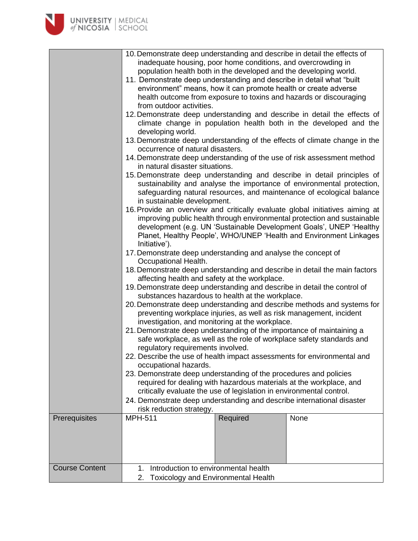| <b>UNIVERSITY   MEDICAL</b><br>of NICOSIA   SCHOOL |                                                                                                                                                                                                                                                                                                                                                                                                                                                                                                                                                                                                                                                                                                                                                                                                                                                                                                                                                                                                                                                                                                                                                                                                                                                                                                                                                                                  |          |                                                                                                                                                                                                                                                                                                                                                                                                                                                                                                                                                                                                                                                                                                                                                                                                                                                                                                                                                                                                                                                                                                                                                                                                                              |
|----------------------------------------------------|----------------------------------------------------------------------------------------------------------------------------------------------------------------------------------------------------------------------------------------------------------------------------------------------------------------------------------------------------------------------------------------------------------------------------------------------------------------------------------------------------------------------------------------------------------------------------------------------------------------------------------------------------------------------------------------------------------------------------------------------------------------------------------------------------------------------------------------------------------------------------------------------------------------------------------------------------------------------------------------------------------------------------------------------------------------------------------------------------------------------------------------------------------------------------------------------------------------------------------------------------------------------------------------------------------------------------------------------------------------------------------|----------|------------------------------------------------------------------------------------------------------------------------------------------------------------------------------------------------------------------------------------------------------------------------------------------------------------------------------------------------------------------------------------------------------------------------------------------------------------------------------------------------------------------------------------------------------------------------------------------------------------------------------------------------------------------------------------------------------------------------------------------------------------------------------------------------------------------------------------------------------------------------------------------------------------------------------------------------------------------------------------------------------------------------------------------------------------------------------------------------------------------------------------------------------------------------------------------------------------------------------|
|                                                    | 10. Demonstrate deep understanding and describe in detail the effects of<br>inadequate housing, poor home conditions, and overcrowding in<br>population health both in the developed and the developing world.<br>11. Demonstrate deep understanding and describe in detail what "built"<br>environment" means, how it can promote health or create adverse<br>from outdoor activities.<br>developing world.<br>occurrence of natural disasters.<br>in natural disaster situations.<br>in sustainable development.<br>Initiative').<br>17. Demonstrate deep understanding and analyse the concept of<br>Occupational Health.<br>affecting health and safety at the workplace.<br>19. Demonstrate deep understanding and describe in detail the control of<br>substances hazardous to health at the workplace.<br>investigation, and monitoring at the workplace.<br>21. Demonstrate deep understanding of the importance of maintaining a<br>regulatory requirements involved.<br>22. Describe the use of health impact assessments for environmental and<br>occupational hazards.<br>23. Demonstrate deep understanding of the procedures and policies<br>required for dealing with hazardous materials at the workplace, and<br>critically evaluate the use of legislation in environmental control.<br>24. Demonstrate deep understanding and describe international disaster |          | health outcome from exposure to toxins and hazards or discouraging<br>12. Demonstrate deep understanding and describe in detail the effects of<br>climate change in population health both in the developed and the<br>13. Demonstrate deep understanding of the effects of climate change in the<br>14. Demonstrate deep understanding of the use of risk assessment method<br>15. Demonstrate deep understanding and describe in detail principles of<br>sustainability and analyse the importance of environmental protection,<br>safeguarding natural resources, and maintenance of ecological balance<br>16. Provide an overview and critically evaluate global initiatives aiming at<br>improving public health through environmental protection and sustainable<br>development (e.g. UN 'Sustainable Development Goals', UNEP 'Healthy<br>Planet, Healthy People', WHO/UNEP 'Health and Environment Linkages<br>18. Demonstrate deep understanding and describe in detail the main factors<br>20. Demonstrate deep understanding and describe methods and systems for<br>preventing workplace injuries, as well as risk management, incident<br>safe workplace, as well as the role of workplace safety standards and |
| Prerequisites                                      | risk reduction strategy.<br><b>MPH-511</b>                                                                                                                                                                                                                                                                                                                                                                                                                                                                                                                                                                                                                                                                                                                                                                                                                                                                                                                                                                                                                                                                                                                                                                                                                                                                                                                                       | Required | None                                                                                                                                                                                                                                                                                                                                                                                                                                                                                                                                                                                                                                                                                                                                                                                                                                                                                                                                                                                                                                                                                                                                                                                                                         |
|                                                    |                                                                                                                                                                                                                                                                                                                                                                                                                                                                                                                                                                                                                                                                                                                                                                                                                                                                                                                                                                                                                                                                                                                                                                                                                                                                                                                                                                                  |          |                                                                                                                                                                                                                                                                                                                                                                                                                                                                                                                                                                                                                                                                                                                                                                                                                                                                                                                                                                                                                                                                                                                                                                                                                              |
| <b>Course Content</b>                              | Introduction to environmental health<br>1.                                                                                                                                                                                                                                                                                                                                                                                                                                                                                                                                                                                                                                                                                                                                                                                                                                                                                                                                                                                                                                                                                                                                                                                                                                                                                                                                       |          |                                                                                                                                                                                                                                                                                                                                                                                                                                                                                                                                                                                                                                                                                                                                                                                                                                                                                                                                                                                                                                                                                                                                                                                                                              |
|                                                    | <b>Toxicology and Environmental Health</b><br>2.                                                                                                                                                                                                                                                                                                                                                                                                                                                                                                                                                                                                                                                                                                                                                                                                                                                                                                                                                                                                                                                                                                                                                                                                                                                                                                                                 |          |                                                                                                                                                                                                                                                                                                                                                                                                                                                                                                                                                                                                                                                                                                                                                                                                                                                                                                                                                                                                                                                                                                                                                                                                                              |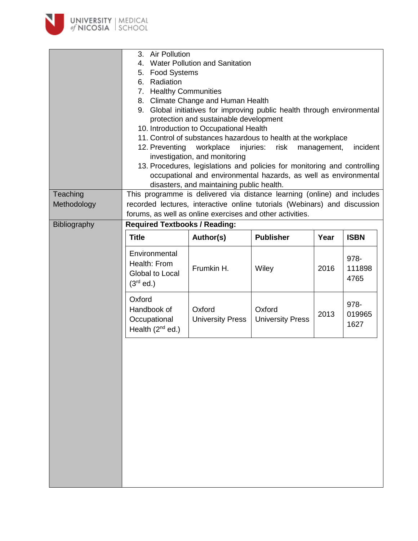

|              | <b>Air Pollution</b><br>3.                                                                                    |                                                                           |                         |             |             |
|--------------|---------------------------------------------------------------------------------------------------------------|---------------------------------------------------------------------------|-------------------------|-------------|-------------|
|              | Water Pollution and Sanitation<br>4.                                                                          |                                                                           |                         |             |             |
|              | 5. Food Systems                                                                                               |                                                                           |                         |             |             |
|              | 6. Radiation                                                                                                  |                                                                           |                         |             |             |
|              |                                                                                                               |                                                                           |                         |             |             |
|              | 7. Healthy Communities                                                                                        |                                                                           |                         |             |             |
|              | 8. Climate Change and Human Health<br>9. Global initiatives for improving public health through environmental |                                                                           |                         |             |             |
|              |                                                                                                               |                                                                           |                         |             |             |
|              |                                                                                                               | protection and sustainable development                                    |                         |             |             |
|              |                                                                                                               | 10. Introduction to Occupational Health                                   |                         |             |             |
|              |                                                                                                               | 11. Control of substances hazardous to health at the workplace            |                         |             |             |
|              | 12. Preventing                                                                                                | workplace<br>investigation, and monitoring                                | injuries:<br>risk       | management, | incident    |
|              |                                                                                                               | 13. Procedures, legislations and policies for monitoring and controlling  |                         |             |             |
|              |                                                                                                               | occupational and environmental hazards, as well as environmental          |                         |             |             |
|              |                                                                                                               |                                                                           |                         |             |             |
|              |                                                                                                               | disasters, and maintaining public health.                                 |                         |             |             |
| Teaching     |                                                                                                               | This programme is delivered via distance learning (online) and includes   |                         |             |             |
| Methodology  |                                                                                                               | recorded lectures, interactive online tutorials (Webinars) and discussion |                         |             |             |
|              | forums, as well as online exercises and other activities.                                                     |                                                                           |                         |             |             |
| Bibliography | <b>Required Textbooks / Reading:</b>                                                                          |                                                                           |                         |             |             |
|              | <b>Title</b>                                                                                                  | Author(s)                                                                 | <b>Publisher</b>        | Year        | <b>ISBN</b> |
|              |                                                                                                               |                                                                           |                         |             |             |
|              | Environmental                                                                                                 |                                                                           |                         |             | 978-        |
|              | Health: From                                                                                                  | Frumkin H.                                                                | Wiley                   | 2016        | 111898      |
|              | Global to Local                                                                                               |                                                                           |                         |             | 4765        |
|              | $(3rd$ ed.)                                                                                                   |                                                                           |                         |             |             |
|              | Oxford                                                                                                        |                                                                           |                         |             |             |
|              | Handbook of                                                                                                   | Oxford                                                                    | Oxford                  |             | 978-        |
|              |                                                                                                               |                                                                           |                         | 2013        | 019965      |
|              | Occupational                                                                                                  | <b>University Press</b>                                                   | <b>University Press</b> |             | 1627        |
|              | Health $(2^{nd}$ ed.)                                                                                         |                                                                           |                         |             |             |
|              |                                                                                                               |                                                                           |                         |             |             |
|              |                                                                                                               |                                                                           |                         |             |             |
|              |                                                                                                               |                                                                           |                         |             |             |
|              |                                                                                                               |                                                                           |                         |             |             |
|              |                                                                                                               |                                                                           |                         |             |             |
|              |                                                                                                               |                                                                           |                         |             |             |
|              |                                                                                                               |                                                                           |                         |             |             |
|              |                                                                                                               |                                                                           |                         |             |             |
|              |                                                                                                               |                                                                           |                         |             |             |
|              |                                                                                                               |                                                                           |                         |             |             |
|              |                                                                                                               |                                                                           |                         |             |             |
|              |                                                                                                               |                                                                           |                         |             |             |
|              |                                                                                                               |                                                                           |                         |             |             |
|              |                                                                                                               |                                                                           |                         |             |             |
|              |                                                                                                               |                                                                           |                         |             |             |